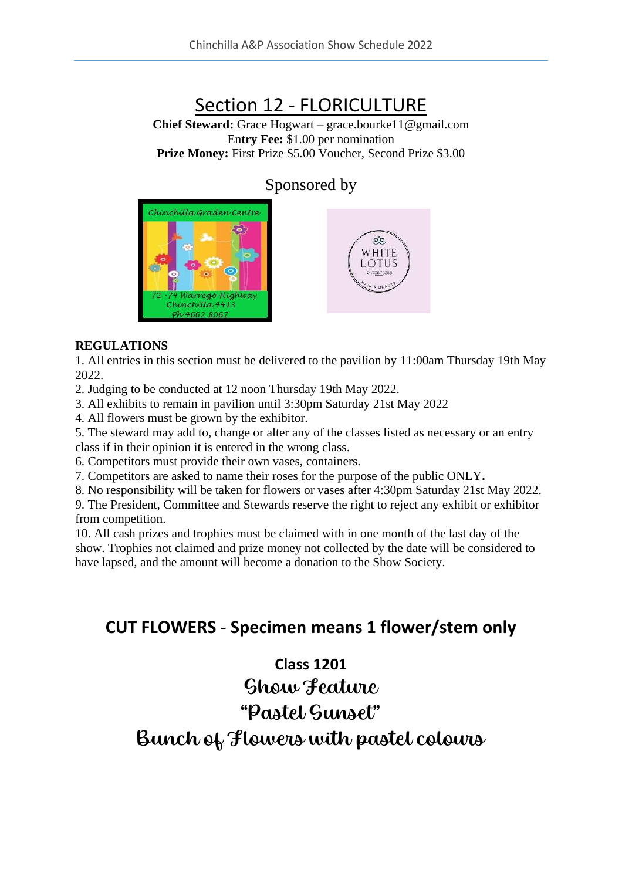# Section 12 - FLORICULTURE

**Chief Steward:** Grace Hogwart – grace.bourke11@gmail.com En**try Fee:** \$1.00 per nomination **Prize Money:** First Prize \$5.00 Voucher, Second Prize \$3.00

### Sponsored by





#### **REGULATIONS**

1. All entries in this section must be delivered to the pavilion by 11:00am Thursday 19th May 2022.

2. Judging to be conducted at 12 noon Thursday 19th May 2022.

3. All exhibits to remain in pavilion until 3:30pm Saturday 21st May 2022

4. All flowers must be grown by the exhibitor.

5. The steward may add to, change or alter any of the classes listed as necessary or an entry class if in their opinion it is entered in the wrong class.

6. Competitors must provide their own vases, containers.

7. Competitors are asked to name their roses for the purpose of the public ONLY**.**

8. No responsibility will be taken for flowers or vases after 4:30pm Saturday 21st May 2022.

9. The President, Committee and Stewards reserve the right to reject any exhibit or exhibitor from competition.

10. All cash prizes and trophies must be claimed with in one month of the last day of the show. Trophies not claimed and prize money not collected by the date will be considered to have lapsed, and the amount will become a donation to the Show Society.

## **CUT FLOWERS** - **Specimen means 1 flower/stem only**

### **Class 1201**

Show Feature

## "Pastel Sunset"

Bunch of Flowers with pastel colours